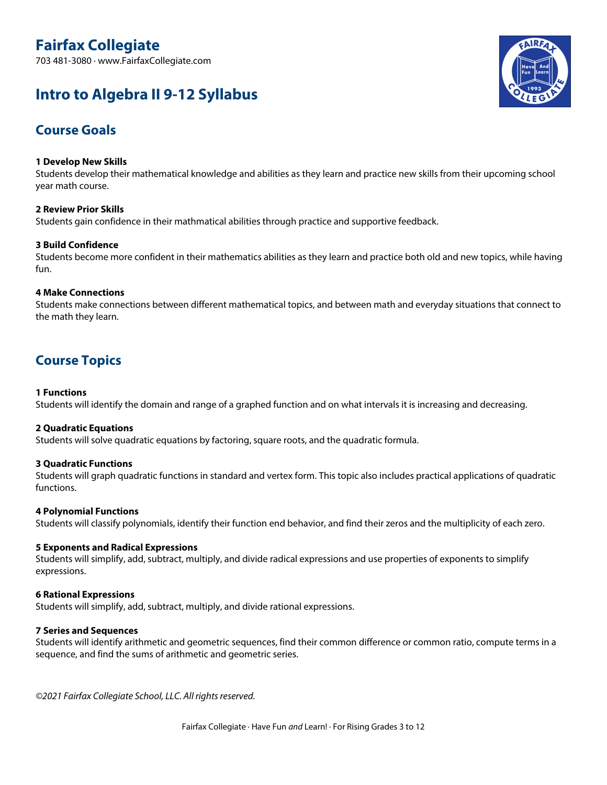703 481-3080 · www.FairfaxCollegiate.com

# **Intro to Algebra II 9-12 Syllabus**



## **Course Goals**

#### **1 Develop New Skills**

Students develop their mathematical knowledge and abilities as they learn and practice new skills from their upcoming school year math course.

#### **2 Review Prior Skills**

Students gain confidence in their mathmatical abilities through practice and supportive feedback.

#### **3 Build Confidence**

Students become more confident in their mathematics abilities as they learn and practice both old and new topics, while having fun.

#### **4 Make Connections**

Students make connections between different mathematical topics, and between math and everyday situations that connect to the math they learn.

### **Course Topics**

#### **1 Functions**

Students will identify the domain and range of a graphed function and on what intervals it is increasing and decreasing.

#### **2 Quadratic Equations**

Students will solve quadratic equations by factoring, square roots, and the quadratic formula.

#### **3 Quadratic Functions**

Students will graph quadratic functions in standard and vertex form. This topic also includes practical applications of quadratic functions.

#### **4 Polynomial Functions**

Students will classify polynomials, identify their function end behavior, and find their zeros and the multiplicity of each zero.

#### **5 Exponents and Radical Expressions**

Students will simplify, add, subtract, multiply, and divide radical expressions and use properties of exponents to simplify expressions.

#### **6 Rational Expressions**

Students will simplify, add, subtract, multiply, and divide rational expressions.

#### **7 Series and Sequences**

Students will identify arithmetic and geometric sequences, find their common difference or common ratio, compute terms in a sequence, and find the sums of arithmetic and geometric series.

*©2021 Fairfax Collegiate School, LLC. All rightsreserved.*